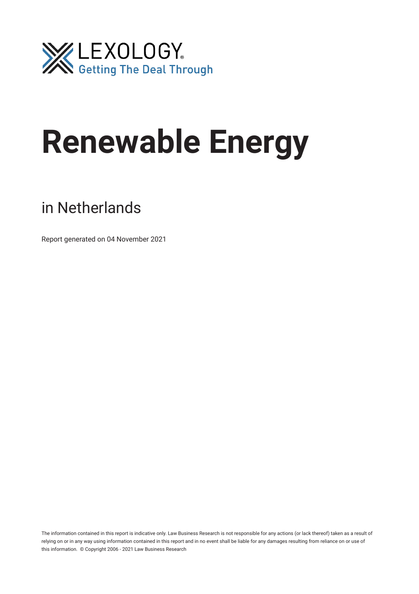

# **Renewable Energy**

# in Netherlands

Report generated on 04 November 2021

The information contained in this report is indicative only. Law Business Research is not responsible for any actions (or lack thereof) taken as a result of relying on or in any way using information contained in this report and in no event shall be liable for any damages resulting from reliance on or use of this information. © Copyright 2006 - 2021 Law Business Research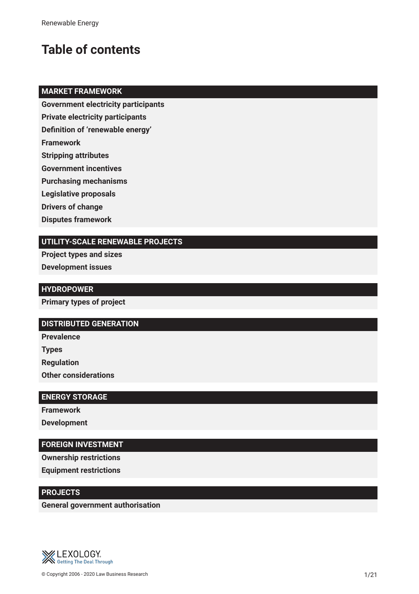# **Table of contents**

# **MARKET FRAMEWORK**

**Government electricity participants**

**Private electricity participants**

**Defnition of 'renewable energy'**

**Framework**

**Stripping attributes**

**Government incentives**

**Purchasing mechanisms**

**Legislative proposals**

**Drivers of change**

**Disputes framework**

# **UTILITY-SCALE RENEWABLE PROJECTS**

**Project types and sizes Development issues**

**HYDROPOWER**

**Primary types of project**

# **DISTRIBUTED GENERATION**

**Prevalence**

**Types**

**Regulation**

**Other considerations**

# **ENERGY STORAGE**

**Framework Development**

# **FOREIGN INVESTMENT**

**Ownership restrictions**

**Equipment restrictions**

# **PROJECTS**

**General government authorisation**

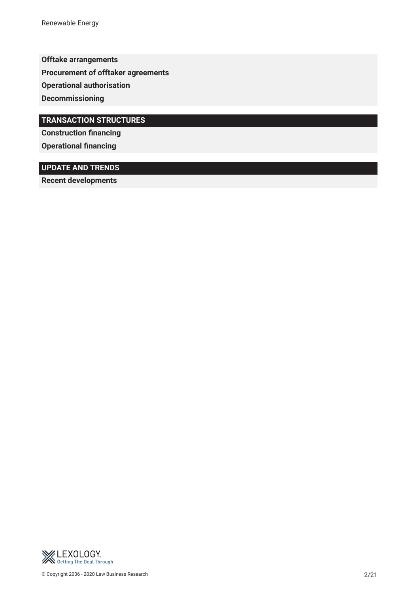Renewable Energy

**Offtake arrangements**

**Procurement of offtaker agreements**

**Operational authorisation**

**Decommissioning**

# **TRANSACTION STRUCTURES**

**Construction fnancing Operational financing** 

# **UPDATE AND TRENDS**

**Recent developments** 

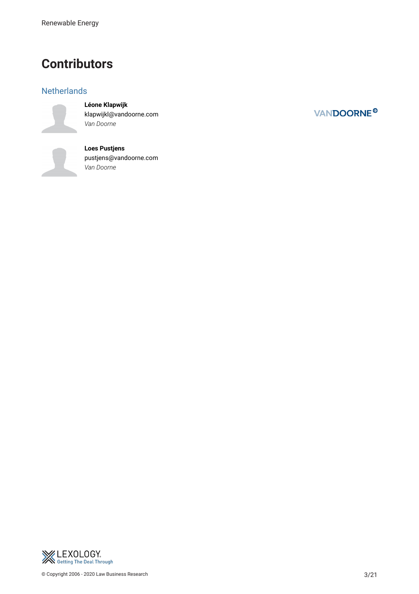# **Contributors**

# **Netherlands**

**Léone Klapwijk**

klapwijkl@vandoorne.com *Van Doorne*

**Loes Pustjens** pustjens@vandoorne.com *Van Doorne*



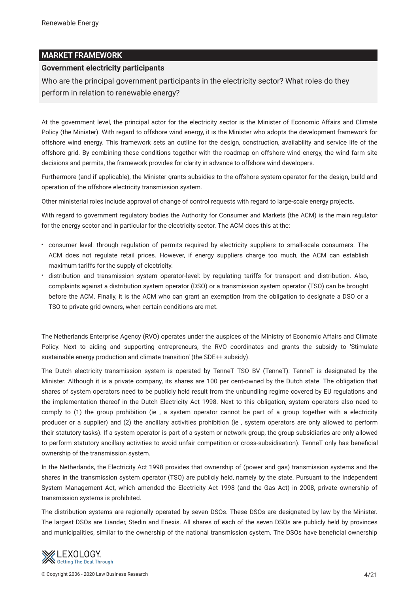# **MARKET FRAMEWORK**

#### **Government electricity participants**

Who are the principal government participants in the electricity sector? What roles do they perform in relation to renewable energy?

At the government level, the principal actor for the electricity sector is the Minister of Economic Affairs and Climate Policy (the Minister). With regard to offshore wind energy, it is the Minister who adopts the development framework for offshore wind energy. This framework sets an outline for the design, construction, availability and service life of the offshore grid. By combining these conditions together with the roadmap on offshore wind energy, the wind farm site decisions and permits, the framework provides for clarity in advance to offshore wind developers.

Furthermore (and if applicable), the Minister grants subsidies to the offshore system operator for the design, build and operation of the offshore electricity transmission system.

Other ministerial roles include approval of change of control requests with regard to large-scale energy projects.

With regard to government regulatory bodies the Authority for Consumer and Markets (the ACM) is the main regulator for the energy sector and in particular for the electricity sector. The ACM does this at the:

- consumer level: through regulation of permits required by electricity suppliers to small-scale consumers. The ACM does not regulate retail prices. However, if energy suppliers charge too much, the ACM can establish maximum tariffs for the supply of electricity.
- distribution and transmission system operator-level: by regulating tariffs for transport and distribution. Also, complaints against a distribution system operator (DSO) or a transmission system operator (TSO) can be brought before the ACM. Finally, it is the ACM who can grant an exemption from the obligation to designate a DSO or a TSO to private grid owners, when certain conditions are met.

The Netherlands Enterprise Agency (RVO) operates under the auspices of the Ministry of Economic Affairs and Climate Policy. Next to aiding and supporting entrepreneurs, the RVO coordinates and grants the subsidy to 'Stimulate sustainable energy production and climate transition' (the SDE++ subsidy).

The Dutch electricity transmission system is operated by TenneT TSO BV (TenneT). TenneT is designated by the Minister. Although it is a private company, its shares are 100 per cent-owned by the Dutch state. The obligation that shares of system operators need to be publicly held result from the unbundling regime covered by EU regulations and the implementation thereof in the Dutch Electricity Act 1998. Next to this obligation, system operators also need to comply to (1) the group prohibition (ie , a system operator cannot be part of a group together with a electricity producer or a supplier) and (2) the ancillary activities prohibition (ie , system operators are only allowed to perform their statutory tasks). If a system operator is part of a system or network group, the group subsidiaries are only allowed to perform statutory ancillary activities to avoid unfair competition or cross-subsidisation). TenneT only has benefcial ownership of the transmission system.

In the Netherlands, the Electricity Act 1998 provides that ownership of (power and gas) transmission systems and the shares in the transmission system operator (TSO) are publicly held, namely by the state. Pursuant to the Independent System Management Act, which amended the Electricity Act 1998 (and the Gas Act) in 2008, private ownership of transmission systems is prohibited.

The distribution systems are regionally operated by seven DSOs. These DSOs are designated by law by the Minister. The largest DSOs are Liander, Stedin and Enexis. All shares of each of the seven DSOs are publicly held by provinces and municipalities, similar to the ownership of the national transmission system. The DSOs have benefcial ownership

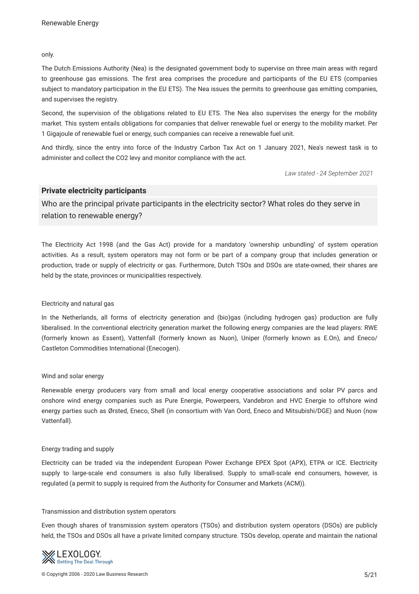only.

The Dutch Emissions Authority (Nea) is the designated government body to supervise on three main areas with regard to greenhouse gas emissions. The frst area comprises the procedure and participants of the EU ETS (companies subject to mandatory participation in the EU ETS). The Nea issues the permits to greenhouse gas emitting companies, and supervises the registry.

Second, the supervision of the obligations related to EU ETS. The Nea also supervises the energy for the mobility market. This system entails obligations for companies that deliver renewable fuel or energy to the mobility market. Per 1 Gigajoule of renewable fuel or energy, such companies can receive a renewable fuel unit.

And thirdly, since the entry into force of the Industry Carbon Tax Act on 1 January 2021, Nea's newest task is to administer and collect the CO2 levy and monitor compliance with the act.

*Law stated - 24 September 2021*

#### **Private electricity participants**

Who are the principal private participants in the electricity sector? What roles do they serve in relation to renewable energy?

The Electricity Act 1998 (and the Gas Act) provide for a mandatory 'ownership unbundling' of system operation activities. As a result, system operators may not form or be part of a company group that includes generation or production, trade or supply of electricity or gas. Furthermore, Dutch TSOs and DSOs are state-owned, their shares are held by the state, provinces or municipalities respectively.

#### Electricity and natural gas

In the Netherlands, all forms of electricity generation and (bio)gas (including hydrogen gas) production are fully liberalised. In the conventional electricity generation market the following energy companies are the lead players: RWE (formerly known as Essent), Vattenfall (formerly known as Nuon), Uniper (formerly known as E.On), and Eneco/ Castleton Commodities International (Enecogen).

#### Wind and solar energy

Renewable energy producers vary from small and local energy cooperative associations and solar PV parcs and onshore wind energy companies such as Pure Energie, Powerpeers, Vandebron and HVC Energie to offshore wind energy parties such as Ørsted, Eneco, Shell (in consortium with Van Oord, Eneco and Mitsubishi/DGE) and Nuon (now Vattenfall).

#### Energy trading and supply

Electricity can be traded via the independent European Power Exchange EPEX Spot (APX), ETPA or ICE. Electricity supply to large-scale end consumers is also fully liberalised. Supply to small-scale end consumers, however, is regulated (a permit to supply is required from the Authority for Consumer and Markets (ACM)).

#### Transmission and distribution system operators

Even though shares of transmission system operators (TSOs) and distribution system operators (DSOs) are publicly held, the TSOs and DSOs all have a private limited company structure. TSOs develop, operate and maintain the national

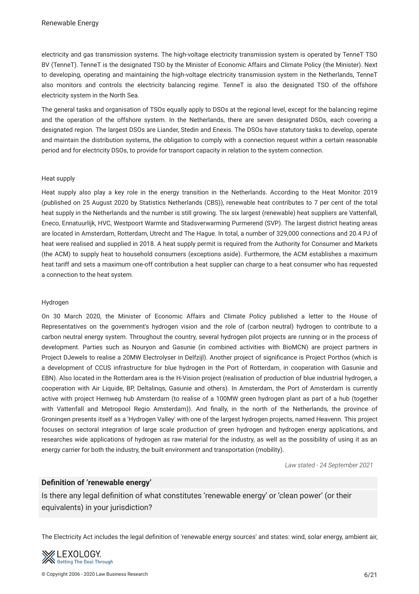electricity and gas transmission systems. The high-voltage electricity transmission system is operated by TenneT TSO BV (TenneT). TenneT is the designated TSO by the Minister of Economic Affairs and Climate Policy (the Minister). Next to developing, operating and maintaining the high-voltage electricity transmission system in the Netherlands, TenneT also monitors and controls the electricity balancing regime. TenneT is also the designated TSO of the offshore electricity system in the North Sea.

The general tasks and organisation of TSOs equally apply to DSOs at the regional level, except for the balancing regime and the operation of the offshore system. In the Netherlands, there are seven designated DSOs, each covering a designated region. The largest DSOs are Liander, Stedin and Enexis. The DSOs have statutory tasks to develop, operate and maintain the distribution systems, the obligation to comply with a connection request within a certain reasonable period and for electricity DSOs, to provide for transport capacity in relation to the system connection.

#### Heat supply

Heat supply also play a key role in the energy transition in the Netherlands. According to the Heat Monitor 2019 (published on 25 August 2020 by Statistics Netherlands (CBS)), renewable heat contributes to 7 per cent of the total heat supply in the Netherlands and the number is still growing. The six largest (renewable) heat suppliers are Vattenfall, Eneco, Ennatuurlijk, HVC, Westpoort Warmte and Stadsverwarming Purmerend (SVP). The largest district heating areas are located in Amsterdam, Rotterdam, Utrecht and The Hague. In total, a number of 329,000 connections and 20.4 PJ of heat were realised and supplied in 2018. A heat supply permit is required from the Authority for Consumer and Markets (the ACM) to supply heat to household consumers (exceptions aside). Furthermore, the ACM establishes a maximum heat tariff and sets a maximum one-off contribution a heat supplier can charge to a heat consumer who has requested a connection to the heat system.

#### Hydrogen

On 30 March 2020, the Minister of Economic Affairs and Climate Policy published a letter to the House of Representatives on the government's hydrogen vision and the role of (carbon neutral) hydrogen to contribute to a carbon neutral energy system. Throughout the country, several hydrogen pilot projects are running or in the process of development. Parties such as Nouryon and Gasunie (in combined activities with BioMCN) are project partners in Project DJewels to realise a 20MW Electrolyser in Delfzijl). Another project of signifcance is Project Porthos (which is a development of CCUS infrastructure for blue hydrogen in the Port of Rotterdam, in cooperation with Gasunie and EBN). Also located in the Rotterdam area is the H-Vision project (realisation of production of blue industrial hydrogen, a cooperation with Air Liquide, BP, Deltalinqs, Gasunie and others). In Amsterdam, the Port of Amsterdam is currently active with project Hemweg hub Amsterdam (to realise of a 100MW green hydrogen plant as part of a hub (together with Vattenfall and Metropool Regio Amsterdam)). And fnally, in the north of the Netherlands, the province of Groningen presents itself as a 'Hydrogen Valley' with one of the largest hydrogen projects, named Heavenn. This project focuses on sectoral integration of large scale production of green hydrogen and hydrogen energy applications, and researches wide applications of hydrogen as raw material for the industry, as well as the possibility of using it as an energy carrier for both the industry, the built environment and transportation (mobility).

*Law stated - 24 September 2021*

## **Defnition of 'renewable energy'**

Is there any legal defnition of what constitutes 'renewable energy' or 'clean power' (or their equivalents) in your jurisdiction?

The Electricity Act includes the legal defnition of 'renewable energy sources' and states: wind, solar energy, ambient air,

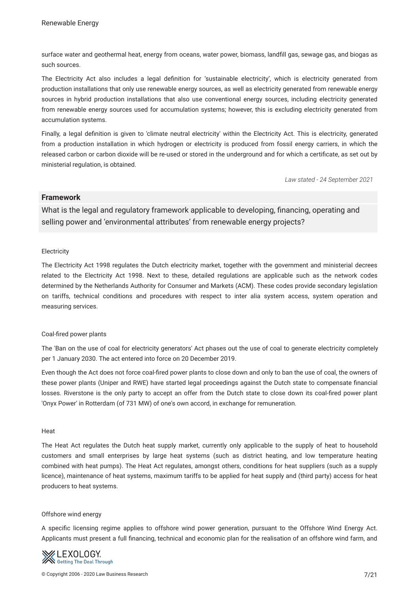surface water and geothermal heat, energy from oceans, water power, biomass, landfll gas, sewage gas, and biogas as such sources.

The Electricity Act also includes a legal defnition for 'sustainable electricity', which is electricity generated from production installations that only use renewable energy sources, as well as electricity generated from renewable energy sources in hybrid production installations that also use conventional energy sources, including electricity generated from renewable energy sources used for accumulation systems; however, this is excluding electricity generated from accumulation systems.

Finally, a legal defnition is given to 'climate neutral electricity' within the Electricity Act. This is electricity, generated from a production installation in which hydrogen or electricity is produced from fossil energy carriers, in which the released carbon or carbon dioxide will be re-used or stored in the underground and for which a certifcate, as set out by ministerial regulation, is obtained.

*Law stated - 24 September 2021*

# **Framework**

What is the legal and regulatory framework applicable to developing, fnancing, operating and selling power and 'environmental attributes' from renewable energy projects?

#### **Electricity**

The Electricity Act 1998 regulates the Dutch electricity market, together with the government and ministerial decrees related to the Electricity Act 1998. Next to these, detailed regulations are applicable such as the network codes determined by the Netherlands Authority for Consumer and Markets (ACM). These codes provide secondary legislation on tariffs, technical conditions and procedures with respect to inter alia system access, system operation and measuring services.

#### Coal-fred power plants

The 'Ban on the use of coal for electricity generators' Act phases out the use of coal to generate electricity completely per 1 January 2030. The act entered into force on 20 December 2019.

Even though the Act does not force coal-fred power plants to close down and only to ban the use of coal, the owners of these power plants (Uniper and RWE) have started legal proceedings against the Dutch state to compensate fnancial losses. Riverstone is the only party to accept an offer from the Dutch state to close down its coal-fred power plant 'Onyx Power' in Rotterdam (of 731 MW) of one's own accord, in exchange for remuneration.

#### **Heat**

The Heat Act regulates the Dutch heat supply market, currently only applicable to the supply of heat to household customers and small enterprises by large heat systems (such as district heating, and low temperature heating combined with heat pumps). The Heat Act regulates, amongst others, conditions for heat suppliers (such as a supply licence), maintenance of heat systems, maximum tariffs to be applied for heat supply and (third party) access for heat producers to heat systems.

#### Offshore wind energy

A specifc licensing regime applies to offshore wind power generation, pursuant to the Offshore Wind Energy Act. Applicants must present a full fnancing, technical and economic plan for the realisation of an offshore wind farm, and

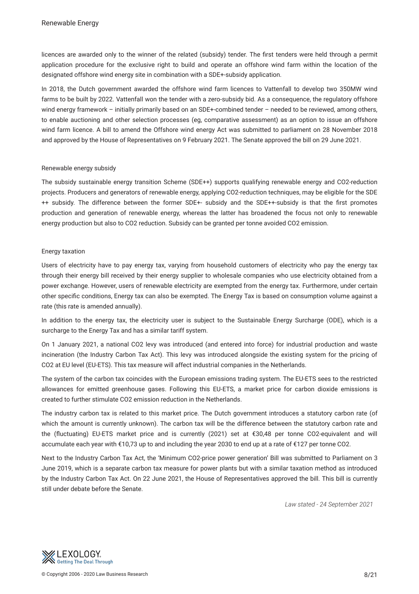licences are awarded only to the winner of the related (subsidy) tender. The frst tenders were held through a permit application procedure for the exclusive right to build and operate an offshore wind farm within the location of the designated offshore wind energy site in combination with a SDE+-subsidy application.

In 2018, the Dutch government awarded the offshore wind farm licences to Vattenfall to develop two 350MW wind farms to be built by 2022. Vattenfall won the tender with a zero-subsidy bid. As a consequence, the regulatory offshore wind energy framework – initially primarily based on an SDE+-combined tender – needed to be reviewed, among others, to enable auctioning and other selection processes (eg, comparative assessment) as an option to issue an offshore wind farm licence. A bill to amend the Offshore wind energy Act was submitted to parliament on 28 November 2018 and approved by the House of Representatives on 9 February 2021. The Senate approved the bill on 29 June 2021.

#### Renewable energy subsidy

The subsidy sustainable energy transition Scheme (SDE++) supports qualifying renewable energy and CO2-reduction projects. Producers and generators of renewable energy, applying CO2-reduction techniques, may be eligible for the SDE ++ subsidy. The difference between the former SDE+- subsidy and the SDE++-subsidy is that the frst promotes production and generation of renewable energy, whereas the latter has broadened the focus not only to renewable energy production but also to CO2 reduction. Subsidy can be granted per tonne avoided CO2 emission.

#### Energy taxation

Users of electricity have to pay energy tax, varying from household customers of electricity who pay the energy tax through their energy bill received by their energy supplier to wholesale companies who use electricity obtained from a power exchange. However, users of renewable electricity are exempted from the energy tax. Furthermore, under certain other specifc conditions, Energy tax can also be exempted. The Energy Tax is based on consumption volume against a rate (this rate is amended annually).

In addition to the energy tax, the electricity user is subject to the Sustainable Energy Surcharge (ODE), which is a surcharge to the Energy Tax and has a similar tariff system.

On 1 January 2021, a national CO2 levy was introduced (and entered into force) for industrial production and waste incineration (the Industry Carbon Tax Act). This levy was introduced alongside the existing system for the pricing of CO2 at EU level (EU-ETS). This tax measure will affect industrial companies in the Netherlands.

The system of the carbon tax coincides with the European emissions trading system. The EU-ETS sees to the restricted allowances for emitted greenhouse gases. Following this EU-ETS, a market price for carbon dioxide emissions is created to further stimulate CO2 emission reduction in the Netherlands.

The industry carbon tax is related to this market price. The Dutch government introduces a statutory carbon rate (of which the amount is currently unknown). The carbon tax will be the difference between the statutory carbon rate and the (fuctuating) EU-ETS market price and is currently (2021) set at €30,48 per tonne CO2-equivalent and will accumulate each year with €10,73 up to and including the year 2030 to end up at a rate of €127 per tonne CO2.

Next to the Industry Carbon Tax Act, the 'Minimum CO2-price power generation' Bill was submitted to Parliament on 3 June 2019, which is a separate carbon tax measure for power plants but with a similar taxation method as introduced by the Industry Carbon Tax Act. On 22 June 2021, the House of Representatives approved the bill. This bill is currently still under debate before the Senate.

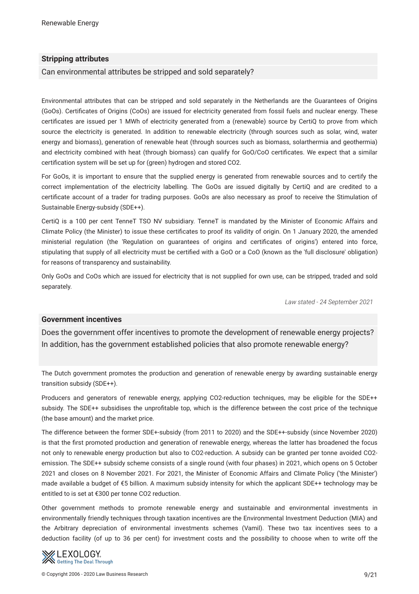# **Stripping attributes**

Can environmental attributes be stripped and sold separately?

Environmental attributes that can be stripped and sold separately in the Netherlands are the Guarantees of Origins (GoOs). Certifcates of Origins (CoOs) are issued for electricity generated from fossil fuels and nuclear energy. These certifcates are issued per 1 MWh of electricity generated from a (renewable) source by CertiQ to prove from which source the electricity is generated. In addition to renewable electricity (through sources such as solar, wind, water energy and biomass), generation of renewable heat (through sources such as biomass, solarthermia and geothermia) and electricity combined with heat (through biomass) can qualify for GoO/CoO certifcates. We expect that a similar certifcation system will be set up for (green) hydrogen and stored CO2.

For GoOs, it is important to ensure that the supplied energy is generated from renewable sources and to certify the correct implementation of the electricity labelling. The GoOs are issued digitally by CertiQ and are credited to a certifcate account of a trader for trading purposes. GoOs are also necessary as proof to receive the Stimulation of Sustainable Energy-subsidy (SDE++).

CertiQ is a 100 per cent TenneT TSO NV subsidiary. TenneT is mandated by the Minister of Economic Affairs and Climate Policy (the Minister) to issue these certifcates to proof its validity of origin. On 1 January 2020, the amended ministerial regulation (the 'Regulation on guarantees of origins and certifcates of origins') entered into force, stipulating that supply of all electricity must be certifed with a GoO or a CoO (known as the 'full disclosure' obligation) for reasons of transparency and sustainability.

Only GoOs and CoOs which are issued for electricity that is not supplied for own use, can be stripped, traded and sold separately.

*Law stated - 24 September 2021*

#### **Government incentives**

Does the government offer incentives to promote the development of renewable energy projects? In addition, has the government established policies that also promote renewable energy?

The Dutch government promotes the production and generation of renewable energy by awarding sustainable energy transition subsidy (SDE++).

Producers and generators of renewable energy, applying CO2-reduction techniques, may be eligible for the SDE++ subsidy. The SDE++ subsidises the unprofitable top, which is the difference between the cost price of the technique (the base amount) and the market price.

The difference between the former SDE+-subsidy (from 2011 to 2020) and the SDE++-subsidy (since November 2020) is that the frst promoted production and generation of renewable energy, whereas the latter has broadened the focus not only to renewable energy production but also to CO2-reduction. A subsidy can be granted per tonne avoided CO2 emission. The SDE++ subsidy scheme consists of a single round (with four phases) in 2021, which opens on 5 October 2021 and closes on 8 November 2021. For 2021, the Minister of Economic Affairs and Climate Policy ('the Minister') made available a budget of €5 billion. A maximum subsidy intensity for which the applicant SDE++ technology may be entitled to is set at €300 per tonne CO2 reduction.

Other government methods to promote renewable energy and sustainable and environmental investments in environmentally friendly techniques through taxation incentives are the Environmental Investment Deduction (MIA) and the Arbitrary depreciation of environmental investments schemes (Vamil). These two tax incentives sees to a deduction facility (of up to 36 per cent) for investment costs and the possibility to choose when to write off the

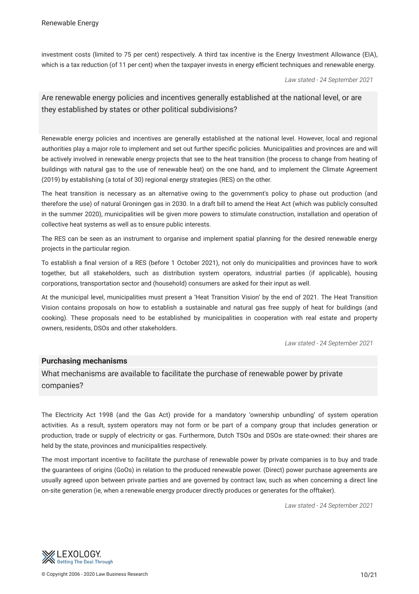investment costs (limited to 75 per cent) respectively. A third tax incentive is the Energy Investment Allowance (EIA), which is a tax reduction (of 11 per cent) when the taxpayer invests in energy efficient techniques and renewable energy.

*Law stated - 24 September 2021*

# Are renewable energy policies and incentives generally established at the national level, or are they established by states or other political subdivisions?

Renewable energy policies and incentives are generally established at the national level. However, local and regional authorities play a major role to implement and set out further specifc policies. Municipalities and provinces are and will be actively involved in renewable energy projects that see to the heat transition (the process to change from heating of buildings with natural gas to the use of renewable heat) on the one hand, and to implement the Climate Agreement (2019) by establishing (a total of 30) regional energy strategies (RES) on the other.

The heat transition is necessary as an alternative owing to the government's policy to phase out production (and therefore the use) of natural Groningen gas in 2030. In a draft bill to amend the Heat Act (which was publicly consulted in the summer 2020), municipalities will be given more powers to stimulate construction, installation and operation of collective heat systems as well as to ensure public interests.

The RES can be seen as an instrument to organise and implement spatial planning for the desired renewable energy projects in the particular region.

To establish a fnal version of a RES (before 1 October 2021), not only do municipalities and provinces have to work together, but all stakeholders, such as distribution system operators, industrial parties (if applicable), housing corporations, transportation sector and (household) consumers are asked for their input as well.

At the municipal level, municipalities must present a 'Heat Transition Vision' by the end of 2021. The Heat Transition Vision contains proposals on how to establish a sustainable and natural gas free supply of heat for buildings (and cooking). These proposals need to be established by municipalities in cooperation with real estate and property owners, residents, DSOs and other stakeholders.

*Law stated - 24 September 2021*

# **Purchasing mechanisms**

What mechanisms are available to facilitate the purchase of renewable power by private companies?

The Electricity Act 1998 (and the Gas Act) provide for a mandatory 'ownership unbundling' of system operation activities. As a result, system operators may not form or be part of a company group that includes generation or production, trade or supply of electricity or gas. Furthermore, Dutch TSOs and DSOs are state-owned: their shares are held by the state, provinces and municipalities respectively.

The most important incentive to facilitate the purchase of renewable power by private companies is to buy and trade the guarantees of origins (GoOs) in relation to the produced renewable power. (Direct) power purchase agreements are usually agreed upon between private parties and are governed by contract law, such as when concerning a direct line on-site generation (ie, when a renewable energy producer directly produces or generates for the offtaker).

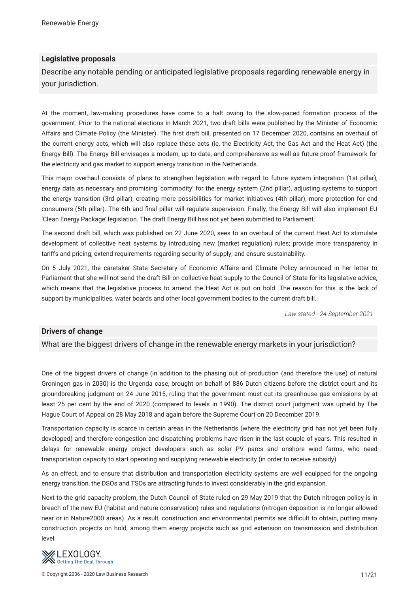# **Legislative proposals**

Describe any notable pending or anticipated legislative proposals regarding renewable energy in your jurisdiction.

At the moment, law-making procedures have come to a halt owing to the slow-paced formation process of the government. Prior to the national elections in March 2021, two draft bills were published by the Minister of Economic Affairs and Climate Policy (the Minister). The frst draft bill, presented on 17 December 2020, contains an overhaul of the current energy acts, which will also replace these acts (ie, the Electricity Act, the Gas Act and the Heat Act) (the Energy Bill). The Energy Bill envisages a modern, up to date, and comprehensive as well as future proof framework for the electricity and gas market to support energy transition in the Netherlands.

This major overhaul consists of plans to strengthen legislation with regard to future system integration (1st pillar), energy data as necessary and promising 'commodity' for the energy system (2nd pillar), adjusting systems to support the energy transition (3rd pillar), creating more possibilities for market initiatives (4th pillar), more protection for end consumers (5th pillar). The 6th and fnal pillar will regulate supervision. Finally, the Energy Bill will also implement EU 'Clean Energy Package' legislation. The draft Energy Bill has not yet been submitted to Parliament.

The second draft bill, which was published on 22 June 2020, sees to an overhaul of the current Heat Act to stimulate development of collective heat systems by introducing new (market regulation) rules; provide more transparency in tariffs and pricing; extend requirements regarding security of supply; and ensure sustainability.

On 5 July 2021, the caretaker State Secretary of Economic Affairs and Climate Policy announced in her letter to Parliament that she will not send the draft Bill on collective heat supply to the Council of State for its legislative advice, which means that the legislative process to amend the Heat Act is put on hold. The reason for this is the lack of support by municipalities, water boards and other local government bodies to the current draft bill.

*Law stated - 24 September 2021*

#### **Drivers of change**

What are the biggest drivers of change in the renewable energy markets in your jurisdiction?

One of the biggest drivers of change (in addition to the phasing out of production (and therefore the use) of natural Groningen gas in 2030) is the Urgenda case, brought on behalf of 886 Dutch citizens before the district court and its groundbreaking judgment on 24 June 2015, ruling that the government must cut its greenhouse gas emissions by at least 25 per cent by the end of 2020 (compared to levels in 1990). The district court judgment was upheld by The Hague Court of Appeal on 28 May 2018 and again before the Supreme Court on 20 December 2019.

Transportation capacity is scarce in certain areas in the Netherlands (where the electricity grid has not yet been fully developed) and therefore congestion and dispatching problems have risen in the last couple of years. This resulted in delays for renewable energy project developers such as solar PV parcs and onshore wind farms, who need transportation capacity to start operating and supplying renewable electricity (in order to receive subsidy).

As an effect, and to ensure that distribution and transportation electricity systems are well equipped for the ongoing energy transition, the DSOs and TSOs are attracting funds to invest considerably in the grid expansion.

Next to the grid capacity problem, the Dutch Council of State ruled on 29 May 2019 that the Dutch nitrogen policy is in breach of the new EU (habitat and nature conservation) rules and regulations (nitrogen deposition is no longer allowed near or in Nature2000 areas). As a result, construction and environmental permits are difcult to obtain, putting many construction projects on hold, among them energy projects such as grid extension on transmission and distribution level.

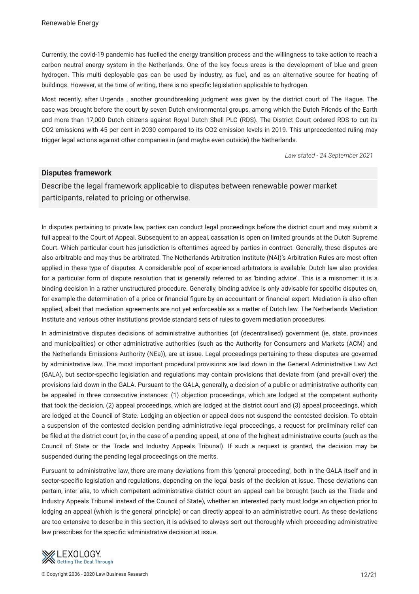Currently, the covid-19 pandemic has fuelled the energy transition process and the willingness to take action to reach a carbon neutral energy system in the Netherlands. One of the key focus areas is the development of blue and green hydrogen. This multi deployable gas can be used by industry, as fuel, and as an alternative source for heating of buildings. However, at the time of writing, there is no specifc legislation applicable to hydrogen.

Most recently, after Urgenda , another groundbreaking judgment was given by the district court of The Hague. The case was brought before the court by seven Dutch environmental groups, among which the Dutch Friends of the Earth and more than 17,000 Dutch citizens against Royal Dutch Shell PLC (RDS). The District Court ordered RDS to cut its CO2 emissions with 45 per cent in 2030 compared to its CO2 emission levels in 2019. This unprecedented ruling may trigger legal actions against other companies in (and maybe even outside) the Netherlands.

*Law stated - 24 September 2021*

#### **Disputes framework**

Describe the legal framework applicable to disputes between renewable power market participants, related to pricing or otherwise.

In disputes pertaining to private law, parties can conduct legal proceedings before the district court and may submit a full appeal to the Court of Appeal. Subsequent to an appeal, cassation is open on limited grounds at the Dutch Supreme Court. Which particular court has jurisdiction is oftentimes agreed by parties in contract. Generally, these disputes are also arbitrable and may thus be arbitrated. The Netherlands Arbitration Institute (NAI)'s Arbitration Rules are most often applied in these type of disputes. A considerable pool of experienced arbitrators is available. Dutch law also provides for a particular form of dispute resolution that is generally referred to as 'binding advice'. This is a misnomer: it is a binding decision in a rather unstructured procedure. Generally, binding advice is only advisable for specifc disputes on, for example the determination of a price or financial figure by an accountant or financial expert. Mediation is also often applied, albeit that mediation agreements are not yet enforceable as a matter of Dutch law. The Netherlands Mediation Institute and various other institutions provide standard sets of rules to govern mediation procedures.

In administrative disputes decisions of administrative authorities (of (decentralised) government (ie, state, provinces and municipalities) or other administrative authorities (such as the Authority for Consumers and Markets (ACM) and the Netherlands Emissions Authority (NEa)), are at issue. Legal proceedings pertaining to these disputes are governed by administrative law. The most important procedural provisions are laid down in the General Administrative Law Act (GALA), but sector-specifc legislation and regulations may contain provisions that deviate from (and prevail over) the provisions laid down in the GALA. Pursuant to the GALA, generally, a decision of a public or administrative authority can be appealed in three consecutive instances: (1) objection proceedings, which are lodged at the competent authority that took the decision, (2) appeal proceedings, which are lodged at the district court and (3) appeal proceedings, which are lodged at the Council of State. Lodging an objection or appeal does not suspend the contested decision. To obtain a suspension of the contested decision pending administrative legal proceedings, a request for preliminary relief can be fled at the district court (or, in the case of a pending appeal, at one of the highest administrative courts (such as the Council of State or the Trade and Industry Appeals Tribunal). If such a request is granted, the decision may be suspended during the pending legal proceedings on the merits.

Pursuant to administrative law, there are many deviations from this 'general proceeding', both in the GALA itself and in sector-specifc legislation and regulations, depending on the legal basis of the decision at issue. These deviations can pertain, inter alia, to which competent administrative district court an appeal can be brought (such as the Trade and Industry Appeals Tribunal instead of the Council of State), whether an interested party must lodge an objection prior to lodging an appeal (which is the general principle) or can directly appeal to an administrative court. As these deviations are too extensive to describe in this section, it is advised to always sort out thoroughly which proceeding administrative law prescribes for the specifc administrative decision at issue.

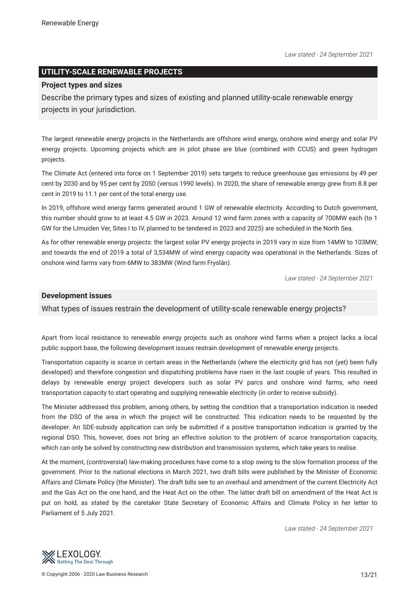# **UTILITY-SCALE RENEWABLE PROJECTS**

#### **Project types and sizes**

Describe the primary types and sizes of existing and planned utility-scale renewable energy projects in your jurisdiction.

The largest renewable energy projects in the Netherlands are offshore wind energy, onshore wind energy and solar PV energy projects. Upcoming projects which are in pilot phase are blue (combined with CCUS) and green hydrogen projects.

The Climate Act (entered into force on 1 September 2019) sets targets to reduce greenhouse gas emissions by 49 per cent by 2030 and by 95 per cent by 2050 (versus 1990 levels). In 2020, the share of renewable energy grew from 8.8 per cent in 2019 to 11.1 per cent of the total energy use.

In 2019, offshore wind energy farms generated around 1 GW of renewable electricity. According to Dutch government, this number should grow to at least 4.5 GW in 2023. Around 12 wind farm zones with a capacity of 700MW each (to 1 GW for the IJmuiden Ver, Sites I to IV, planned to be tendered in 2023 and 2025) are scheduled in the North Sea.

As for other renewable energy projects: the largest solar PV energy projects in 2019 vary in size from 14MW to 103MW; and towards the end of 2019 a total of 3,534MW of wind energy capacity was operational in the Netherlands. Sizes of onshore wind farms vary from 6MW to 383MW (Wind farm Fryslân).

*Law stated - 24 September 2021*

#### **Development issues**

#### What types of issues restrain the development of utility-scale renewable energy projects?

Apart from local resistance to renewable energy projects such as onshore wind farms when a project lacks a local public support base, the following development issues restrain development of renewable energy projects.

Transportation capacity is scarce in certain areas in the Netherlands (where the electricity grid has not (yet) been fully developed) and therefore congestion and dispatching problems have risen in the last couple of years. This resulted in delays by renewable energy project developers such as solar PV parcs and onshore wind farms, who need transportation capacity to start operating and supplying renewable electricity (in order to receive subsidy).

The Minister addressed this problem, among others, by setting the condition that a transportation indication is needed from the DSO of the area in which the project will be constructed. This indication needs to be requested by the developer. An SDE-subsidy application can only be submitted if a positive transportation indication is granted by the regional DSO. This, however, does not bring an effective solution to the problem of scarce transportation capacity, which can only be solved by constructing new distribution and transmission systems, which take years to realise.

At the moment, (controversial) law-making procedures have come to a stop owing to the slow formation process of the government. Prior to the national elections in March 2021, two draft bills were published by the Minister of Economic Affairs and Climate Policy (the Minister). The draft bills see to an overhaul and amendment of the current Electricity Act and the Gas Act on the one hand, and the Heat Act on the other. The latter draft bill on amendment of the Heat Act is put on hold, as stated by the caretaker State Secretary of Economic Affairs and Climate Policy in her letter to Parliament of 5 July 2021.

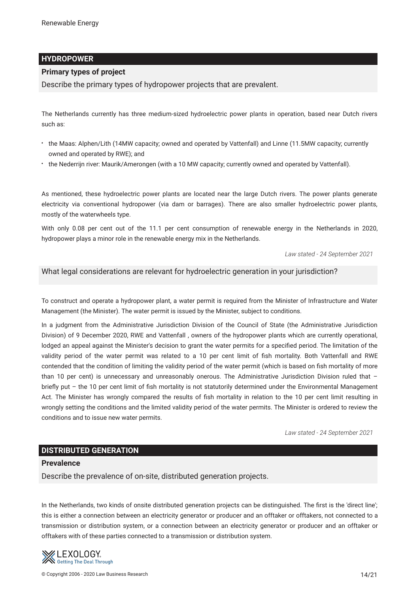# **HYDROPOWER**

# **Primary types of project**

Describe the primary types of hydropower projects that are prevalent.

The Netherlands currently has three medium-sized hydroelectric power plants in operation, based near Dutch rivers such as:

- the Maas: Alphen/Lith (14MW capacity; owned and operated by Vattenfall) and Linne (11.5MW capacity; currently owned and operated by RWE); and
- the Nederrijn river: Maurik/Amerongen (with a 10 MW capacity; currently owned and operated by Vattenfall).

As mentioned, these hydroelectric power plants are located near the large Dutch rivers. The power plants generate electricity via conventional hydropower (via dam or barrages). There are also smaller hydroelectric power plants, mostly of the waterwheels type.

With only 0.08 per cent out of the 11.1 per cent consumption of renewable energy in the Netherlands in 2020, hydropower plays a minor role in the renewable energy mix in the Netherlands.

*Law stated - 24 September 2021*

# What legal considerations are relevant for hydroelectric generation in your jurisdiction?

To construct and operate a hydropower plant, a water permit is required from the Minister of Infrastructure and Water Management (the Minister). The water permit is issued by the Minister, subject to conditions.

In a judgment from the Administrative Jurisdiction Division of the Council of State (the Administrative Jurisdiction Division) of 9 December 2020, RWE and Vattenfall , owners of the hydropower plants which are currently operational, lodged an appeal against the Minister's decision to grant the water permits for a specifed period. The limitation of the validity period of the water permit was related to a 10 per cent limit of fsh mortality. Both Vattenfall and RWE contended that the condition of limiting the validity period of the water permit (which is based on fsh mortality of more than 10 per cent) is unnecessary and unreasonably onerous. The Administrative Jurisdiction Division ruled that briefy put – the 10 per cent limit of fsh mortality is not statutorily determined under the Environmental Management Act. The Minister has wrongly compared the results of fsh mortality in relation to the 10 per cent limit resulting in wrongly setting the conditions and the limited validity period of the water permits. The Minister is ordered to review the conditions and to issue new water permits.

*Law stated - 24 September 2021*

# **DISTRIBUTED GENERATION**

#### **Prevalence**

Describe the prevalence of on-site, distributed generation projects.

In the Netherlands, two kinds of onsite distributed generation projects can be distinguished. The frst is the 'direct line'; this is either a connection between an electricity generator or producer and an offtaker or offtakers, not connected to a transmission or distribution system, or a connection between an electricity generator or producer and an offtaker or offtakers with of these parties connected to a transmission or distribution system.

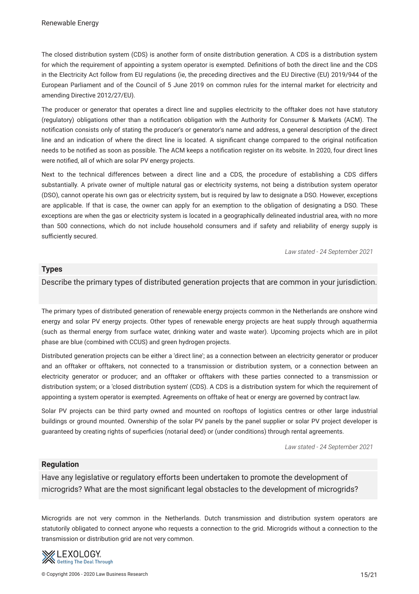The closed distribution system (CDS) is another form of onsite distribution generation. A CDS is a distribution system for which the requirement of appointing a system operator is exempted. Defnitions of both the direct line and the CDS in the Electricity Act follow from EU regulations (ie, the preceding directives and the EU Directive (EU) 2019/944 of the European Parliament and of the Council of 5 June 2019 on common rules for the internal market for electricity and amending Directive 2012/27/EU).

The producer or generator that operates a direct line and supplies electricity to the offtaker does not have statutory (regulatory) obligations other than a notifcation obligation with the Authority for Consumer & Markets (ACM). The notifcation consists only of stating the producer's or generator's name and address, a general description of the direct line and an indication of where the direct line is located. A signifcant change compared to the original notifcation needs to be notifed as soon as possible. The ACM keeps a notifcation register on its website. In 2020, four direct lines were notifed, all of which are solar PV energy projects.

Next to the technical differences between a direct line and a CDS, the procedure of establishing a CDS differs substantially. A private owner of multiple natural gas or electricity systems, not being a distribution system operator (DSO), cannot operate his own gas or electricity system, but is required by law to designate a DSO. However, exceptions are applicable. If that is case, the owner can apply for an exemption to the obligation of designating a DSO. These exceptions are when the gas or electricity system is located in a geographically delineated industrial area, with no more than 500 connections, which do not include household consumers and if safety and reliability of energy supply is sufficiently secured.

*Law stated - 24 September 2021*

#### **Types**

# Describe the primary types of distributed generation projects that are common in your jurisdiction.

The primary types of distributed generation of renewable energy projects common in the Netherlands are onshore wind energy and solar PV energy projects. Other types of renewable energy projects are heat supply through aquathermia (such as thermal energy from surface water, drinking water and waste water). Upcoming projects which are in pilot phase are blue (combined with CCUS) and green hydrogen projects.

Distributed generation projects can be either a 'direct line'; as a connection between an electricity generator or producer and an offtaker or offtakers, not connected to a transmission or distribution system, or a connection between an electricity generator or producer; and an offtaker or offtakers with these parties connected to a transmission or distribution system; or a 'closed distribution system' (CDS). A CDS is a distribution system for which the requirement of appointing a system operator is exempted. Agreements on offtake of heat or energy are governed by contract law.

Solar PV projects can be third party owned and mounted on rooftops of logistics centres or other large industrial buildings or ground mounted. Ownership of the solar PV panels by the panel supplier or solar PV project developer is guaranteed by creating rights of superfcies (notarial deed) or (under conditions) through rental agreements.

*Law stated - 24 September 2021*

# **Regulation**

Have any legislative or regulatory efforts been undertaken to promote the development of microgrids? What are the most signifcant legal obstacles to the development of microgrids?

Microgrids are not very common in the Netherlands. Dutch transmission and distribution system operators are statutorily obligated to connect anyone who requests a connection to the grid. Microgrids without a connection to the transmission or distribution grid are not very common.

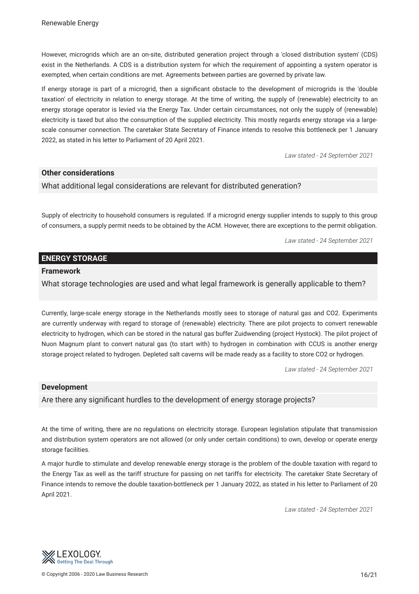However, microgrids which are an on-site, distributed generation project through a 'closed distribution system' (CDS) exist in the Netherlands. A CDS is a distribution system for which the requirement of appointing a system operator is exempted, when certain conditions are met. Agreements between parties are governed by private law.

If energy storage is part of a microgrid, then a signifcant obstacle to the development of microgrids is the 'double taxation' of electricity in relation to energy storage. At the time of writing, the supply of (renewable) electricity to an energy storage operator is levied via the Energy Tax. Under certain circumstances, not only the supply of (renewable) electricity is taxed but also the consumption of the supplied electricity. This mostly regards energy storage via a largescale consumer connection. The caretaker State Secretary of Finance intends to resolve this bottleneck per 1 January 2022, as stated in his letter to Parliament of 20 April 2021.

*Law stated - 24 September 2021*

# **Other considerations**

What additional legal considerations are relevant for distributed generation?

Supply of electricity to household consumers is regulated. If a microgrid energy supplier intends to supply to this group of consumers, a supply permit needs to be obtained by the ACM. However, there are exceptions to the permit obligation.

*Law stated - 24 September 2021*

# **ENERGY STORAGE**

#### **Framework**

What storage technologies are used and what legal framework is generally applicable to them?

Currently, large-scale energy storage in the Netherlands mostly sees to storage of natural gas and CO2. Experiments are currently underway with regard to storage of (renewable) electricity. There are pilot projects to convert renewable electricity to hydrogen, which can be stored in the natural gas buffer Zuidwending (project Hystock). The pilot project of Nuon Magnum plant to convert natural gas (to start with) to hydrogen in combination with CCUS is another energy storage project related to hydrogen. Depleted salt caverns will be made ready as a facility to store CO2 or hydrogen.

*Law stated - 24 September 2021*

#### **Development**

Are there any signifcant hurdles to the development of energy storage projects?

At the time of writing, there are no regulations on electricity storage. European legislation stipulate that transmission and distribution system operators are not allowed (or only under certain conditions) to own, develop or operate energy storage facilities.

A major hurdle to stimulate and develop renewable energy storage is the problem of the double taxation with regard to the Energy Tax as well as the tariff structure for passing on net tariffs for electricity. The caretaker State Secretary of Finance intends to remove the double taxation-bottleneck per 1 January 2022, as stated in his letter to Parliament of 20 April 2021.

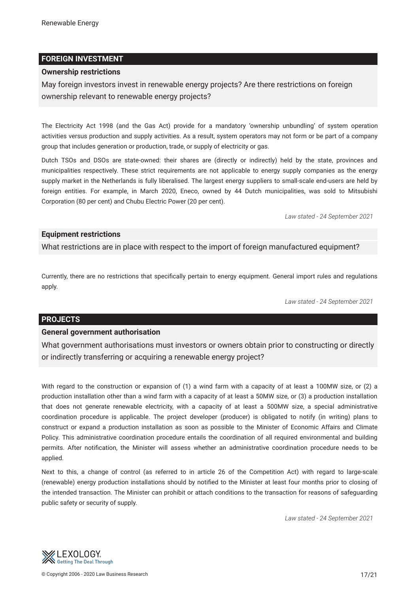# **FOREIGN INVESTMENT**

## **Ownership restrictions**

May foreign investors invest in renewable energy projects? Are there restrictions on foreign ownership relevant to renewable energy projects?

The Electricity Act 1998 (and the Gas Act) provide for a mandatory 'ownership unbundling' of system operation activities versus production and supply activities. As a result, system operators may not form or be part of a company group that includes generation or production, trade, or supply of electricity or gas.

Dutch TSOs and DSOs are state-owned: their shares are (directly or indirectly) held by the state, provinces and municipalities respectively. These strict requirements are not applicable to energy supply companies as the energy supply market in the Netherlands is fully liberalised. The largest energy suppliers to small-scale end-users are held by foreign entities. For example, in March 2020, Eneco, owned by 44 Dutch municipalities, was sold to Mitsubishi Corporation (80 per cent) and Chubu Electric Power (20 per cent).

*Law stated - 24 September 2021*

# **Equipment restrictions**

What restrictions are in place with respect to the import of foreign manufactured equipment?

Currently, there are no restrictions that specifcally pertain to energy equipment. General import rules and regulations apply.

*Law stated - 24 September 2021*

# **PROJECTS**

#### **General government authorisation**

What government authorisations must investors or owners obtain prior to constructing or directly or indirectly transferring or acquiring a renewable energy project?

With regard to the construction or expansion of (1) a wind farm with a capacity of at least a 100MW size, or (2) a production installation other than a wind farm with a capacity of at least a 50MW size, or (3) a production installation that does not generate renewable electricity, with a capacity of at least a 500MW size, a special administrative coordination procedure is applicable. The project developer (producer) is obligated to notify (in writing) plans to construct or expand a production installation as soon as possible to the Minister of Economic Affairs and Climate Policy. This administrative coordination procedure entails the coordination of all required environmental and building permits. After notifcation, the Minister will assess whether an administrative coordination procedure needs to be applied.

Next to this, a change of control (as referred to in article 26 of the Competition Act) with regard to large-scale (renewable) energy production installations should by notifed to the Minister at least four months prior to closing of the intended transaction. The Minister can prohibit or attach conditions to the transaction for reasons of safeguarding public safety or security of supply.

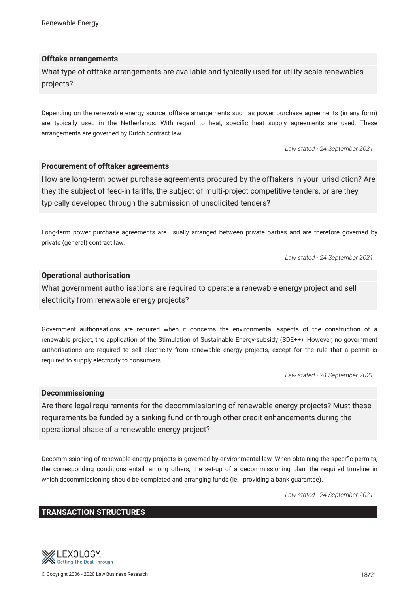# **Offtake arrangements**

What type of offtake arrangements are available and typically used for utility-scale renewables projects?

Depending on the renewable energy source, offtake arrangements such as power purchase agreements (in any form) are typically used in the Netherlands. With regard to heat, specifc heat supply agreements are used. These arrangements are governed by Dutch contract law.

*Law stated - 24 September 2021*

#### **Procurement of offtaker agreements**

How are long-term power purchase agreements procured by the offtakers in your jurisdiction? Are they the subject of feed-in tariffs, the subject of multi-project competitive tenders, or are they typically developed through the submission of unsolicited tenders?

Long-term power purchase agreements are usually arranged between private parties and are therefore governed by private (general) contract law.

*Law stated - 24 September 2021*

# **Operational authorisation**

What government authorisations are required to operate a renewable energy project and sell electricity from renewable energy projects?

Government authorisations are required when it concerns the environmental aspects of the construction of a renewable project, the application of the Stimulation of Sustainable Energy-subsidy (SDE++). However, no government authorisations are required to sell electricity from renewable energy projects, except for the rule that a permit is required to supply electricity to consumers.

*Law stated - 24 September 2021*

#### **Decommissioning**

Are there legal requirements for the decommissioning of renewable energy projects? Must these requirements be funded by a sinking fund or through other credit enhancements during the operational phase of a renewable energy project?

Decommissioning of renewable energy projects is governed by environmental law. When obtaining the specifc permits, the corresponding conditions entail, among others, the set-up of a decommissioning plan, the required timeline in which decommissioning should be completed and arranging funds (ie, providing a bank guarantee).

*Law stated - 24 September 2021*

#### **TRANSACTION STRUCTURES**

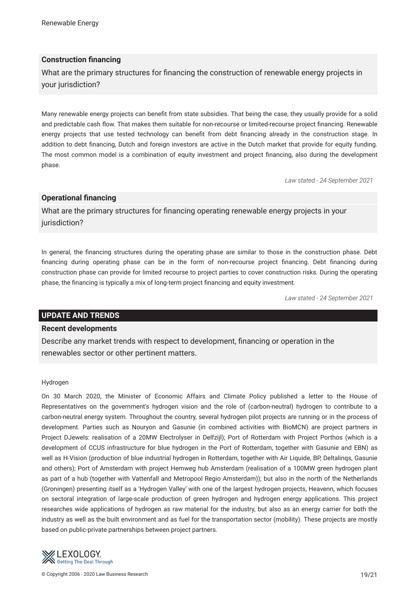# **Construction fnancing**

What are the primary structures for fnancing the construction of renewable energy projects in your jurisdiction?

Many renewable energy projects can beneft from state subsidies. That being the case, they usually provide for a solid and predictable cash fow. That makes them suitable for non-recourse or limited-recourse project fnancing. Renewable energy projects that use tested technology can beneft from debt fnancing already in the construction stage. In addition to debt fnancing, Dutch and foreign investors are active in the Dutch market that provide for equity funding. The most common model is a combination of equity investment and project fnancing, also during the development phase.

*Law stated - 24 September 2021*

# **Operational fnancing**

What are the primary structures for fnancing operating renewable energy projects in your jurisdiction?

In general, the fnancing structures during the operating phase are similar to those in the construction phase. Debt fnancing during operating phase can be in the form of non-recourse project fnancing. Debt fnancing during construction phase can provide for limited recourse to project parties to cover construction risks. During the operating phase, the fnancing is typically a mix of long-term project fnancing and equity investment.

*Law stated - 24 September 2021*

#### **UPDATE AND TRENDS**

#### **Recent developments**

Describe any market trends with respect to development, fnancing or operation in the renewables sector or other pertinent matters.

#### Hydrogen

On 30 March 2020, the Minister of Economic Affairs and Climate Policy published a letter to the House of Representatives on the government's hydrogen vision and the role of (carbon-neutral) hydrogen to contribute to a carbon-neutral energy system. Throughout the country, several hydrogen pilot projects are running or in the process of development. Parties such as Nouryon and Gasunie (in combined activities with BioMCN) are project partners in Project DJewels: realisation of a 20MW Electrolyser in Delfzijl); Port of Rotterdam with Project Porthos (which is a development of CCUS infrastructure for blue hydrogen in the Port of Rotterdam, together with Gasunie and EBN) as well as H-Vision (production of blue industrial hydrogen in Rotterdam, together with Air Liquide, BP, Deltalinqs, Gasunie and others); Port of Amsterdam with project Hemweg hub Amsterdam (realisation of a 100MW green hydrogen plant as part of a hub (together with Vattenfall and Metropool Regio Amsterdam)); but also in the north of the Netherlands (Groningen) presenting itself as a 'Hydrogen Valley' with one of the largest hydrogen projects, Heavenn, which focuses on sectoral integration of large-scale production of green hydrogen and hydrogen energy applications. This project researches wide applications of hydrogen as raw material for the industry, but also as an energy carrier for both the industry as well as the built environment and as fuel for the transportation sector (mobility). These projects are mostly based on public-private partnerships between project partners.

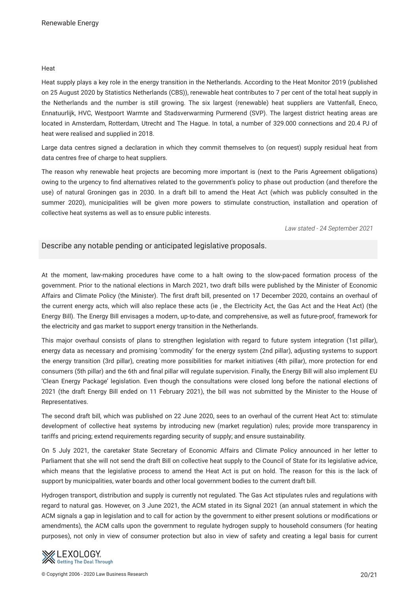#### **Heat**

Heat supply plays a key role in the energy transition in the Netherlands. According to the Heat Monitor 2019 (published on 25 August 2020 by Statistics Netherlands (CBS)), renewable heat contributes to 7 per cent of the total heat supply in the Netherlands and the number is still growing. The six largest (renewable) heat suppliers are Vattenfall, Eneco, Ennatuurlijk, HVC, Westpoort Warmte and Stadsverwarming Purmerend (SVP). The largest district heating areas are located in Amsterdam, Rotterdam, Utrecht and The Hague. In total, a number of 329.000 connections and 20.4 PJ of heat were realised and supplied in 2018.

Large data centres signed a declaration in which they commit themselves to (on request) supply residual heat from data centres free of charge to heat suppliers.

The reason why renewable heat projects are becoming more important is (next to the Paris Agreement obligations) owing to the urgency to fnd alternatives related to the government's policy to phase out production (and therefore the use) of natural Groningen gas in 2030. In a draft bill to amend the Heat Act (which was publicly consulted in the summer 2020), municipalities will be given more powers to stimulate construction, installation and operation of collective heat systems as well as to ensure public interests.

*Law stated - 24 September 2021*

# Describe any notable pending or anticipated legislative proposals.

At the moment, law-making procedures have come to a halt owing to the slow-paced formation process of the government. Prior to the national elections in March 2021, two draft bills were published by the Minister of Economic Affairs and Climate Policy (the Minister). The frst draft bill, presented on 17 December 2020, contains an overhaul of the current energy acts, which will also replace these acts (ie , the Electricity Act, the Gas Act and the Heat Act) (the Energy Bill). The Energy Bill envisages a modern, up-to-date, and comprehensive, as well as future-proof, framework for the electricity and gas market to support energy transition in the Netherlands.

This major overhaul consists of plans to strengthen legislation with regard to future system integration (1st pillar), energy data as necessary and promising 'commodity' for the energy system (2nd pillar), adjusting systems to support the energy transition (3rd pillar), creating more possibilities for market initiatives (4th pillar), more protection for end consumers (5th pillar) and the 6th and fnal pillar will regulate supervision. Finally, the Energy Bill will also implement EU 'Clean Energy Package' legislation. Even though the consultations were closed long before the national elections of 2021 (the draft Energy Bill ended on 11 February 2021), the bill was not submitted by the Minister to the House of Representatives.

The second draft bill, which was published on 22 June 2020, sees to an overhaul of the current Heat Act to: stimulate development of collective heat systems by introducing new (market regulation) rules; provide more transparency in tariffs and pricing; extend requirements regarding security of supply; and ensure sustainability.

On 5 July 2021, the caretaker State Secretary of Economic Affairs and Climate Policy announced in her letter to Parliament that she will not send the draft Bill on collective heat supply to the Council of State for its legislative advice, which means that the legislative process to amend the Heat Act is put on hold. The reason for this is the lack of support by municipalities, water boards and other local government bodies to the current draft bill.

Hydrogen transport, distribution and supply is currently not regulated. The Gas Act stipulates rules and regulations with regard to natural gas. However, on 3 June 2021, the ACM stated in its Signal 2021 (an annual statement in which the ACM signals a gap in legislation and to call for action by the government to either present solutions or modifcations or amendments), the ACM calls upon the government to regulate hydrogen supply to household consumers (for heating purposes), not only in view of consumer protection but also in view of safety and creating a legal basis for current